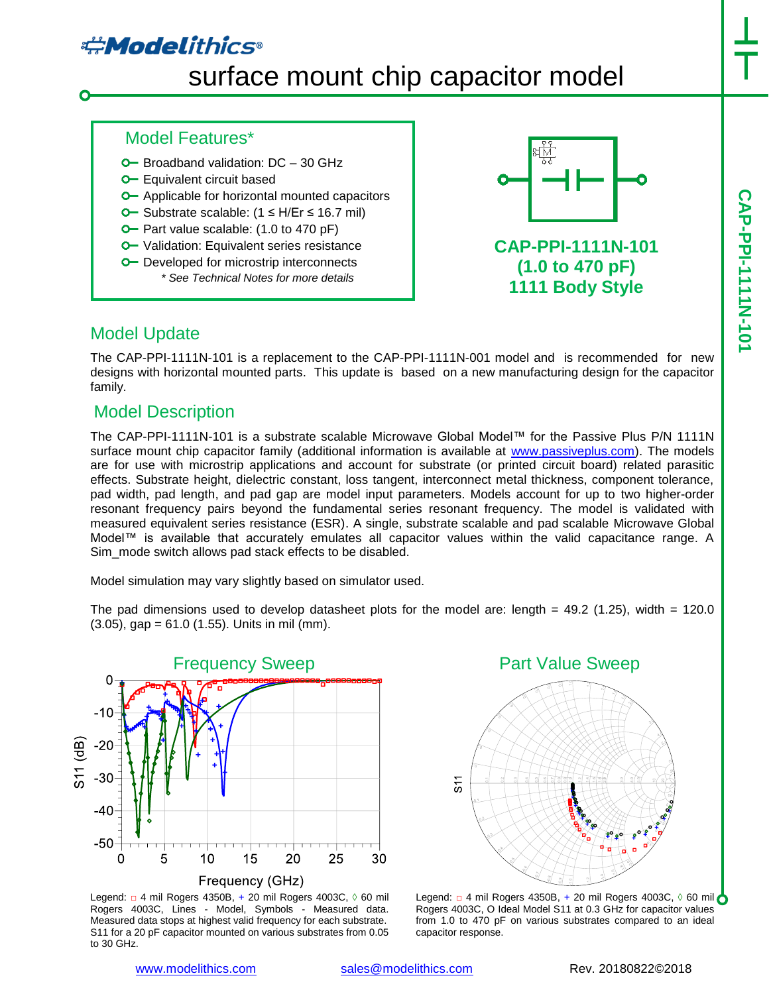# **#Modelithics**

# surface mount chip capacitor model

#### Model Features\*

- $O$  Broadband validation:  $DC 30$  GHz
- **O** Equivalent circuit based
- **O** Applicable for horizontal mounted capacitors
- Substrate scalable: (1 ≤ H/Er ≤ 16.7 mil)
- **O** Part value scalable: (1.0 to 470 pF)
- **O** Validation: Equivalent series resistance
- **O** Developed for microstrip interconnects *\* See Technical Notes for more details*



## **CAP-PPI-1111N-101 (1.0 to 470 pF) 1111 Body Style**

## Model Update

The CAP-PPI-1111N-101 is a replacement to the CAP-PPI-1111N-001 model and is recommended for new designs with horizontal mounted parts. This update is based on a new manufacturing design for the capacitor family.

## Model Description

The CAP-PPI-1111N-101 is a substrate scalable Microwave Global Model™ for the Passive Plus P/N 1111N surface mount chip capacitor family (additional information is available at [www.passiveplus.com\)](http://www.passiveplus.com/). The models are for use with microstrip applications and account for substrate (or printed circuit board) related parasitic effects. Substrate height, dielectric constant, loss tangent, interconnect metal thickness, component tolerance, pad width, pad length, and pad gap are model input parameters. Models account for up to two higher-order resonant frequency pairs beyond the fundamental series resonant frequency. The model is validated with measured equivalent series resistance (ESR). A single, substrate scalable and pad scalable Microwave Global Model™ is available that accurately emulates all capacitor values within the valid capacitance range. A Sim\_mode switch allows pad stack effects to be disabled.

Model simulation may vary slightly based on simulator used.

The pad dimensions used to develop datasheet plots for the model are: length  $= 49.2$  (1.25), width  $= 120.0$  $(3.05)$ , gap = 61.0  $(1.55)$ . Units in mil (mm).



Legend: □ 4 mil Rogers 4350B, + 20 mil Rogers 4003C, ◊ 60 mil Rogers 4003C, Lines - Model, Symbols - Measured data. Measured data stops at highest valid frequency for each substrate. S11 for a 20 pF capacitor mounted on various substrates from 0.05 to 30 GHz.



Legend:  $\Box$  4 mil Rogers 4350B, + 20 mil Rogers 4003C,  $\Diamond$  60 mil  $\bigcirc$ Rogers 4003C, O Ideal Model S11 at 0.3 GHz for capacitor values from 1.0 to 470 pF on various substrates compared to an ideal capacitor response.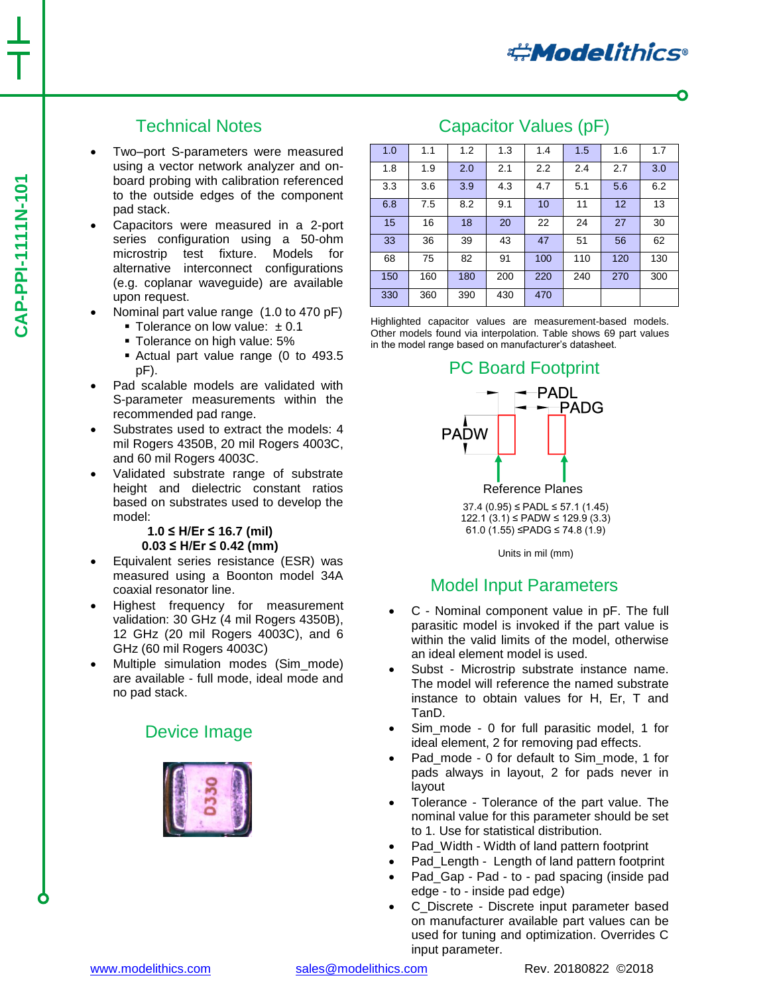## Technical Notes

- Two–port S-parameters were measured using a vector network analyzer and onboard probing with calibration referenced to the outside edges of the component pad stack.
- Capacitors were measured in a 2-port series configuration using a 50-ohm microstrip test fixture. Models for alternative interconnect configurations (e.g. coplanar waveguide) are available upon request.
- Nominal part value range (1.0 to 470 pF)
	- Tolerance on low value:  $± 0.1$
	- **Tolerance on high value: 5%**
	- Actual part value range (0 to 493.5 pF).
- Pad scalable models are validated with S-parameter measurements within the recommended pad range.
- Substrates used to extract the models: 4 mil Rogers 4350B, 20 mil Rogers 4003C, and 60 mil Rogers 4003C.
- Validated substrate range of substrate height and dielectric constant ratios based on substrates used to develop the model:

#### **1.0 ≤ H/Er ≤ 16.7 (mil) 0.03 ≤ H/Er ≤ 0.42 (mm)**

- Equivalent series resistance (ESR) was measured using a Boonton model 34A coaxial resonator line.
- Highest frequency for measurement validation: 30 GHz (4 mil Rogers 4350B), 12 GHz (20 mil Rogers 4003C), and 6 GHz (60 mil Rogers 4003C)
- Multiple simulation modes (Sim\_mode) are available - full mode, ideal mode and no pad stack.

## Device Image



## Capacitor Values (pF)

| 1.0 | 1.1 | 1.2 | 1.3 | 1.4 | 1.5 | 1.6 | 1.7 |
|-----|-----|-----|-----|-----|-----|-----|-----|
| 1.8 | 1.9 | 2.0 | 2.1 | 2.2 | 2.4 | 2.7 | 3.0 |
| 3.3 | 3.6 | 3.9 | 4.3 | 4.7 | 5.1 | 5.6 | 6.2 |
| 6.8 | 7.5 | 8.2 | 9.1 | 10  | 11  | 12  | 13  |
| 15  | 16  | 18  | 20  | 22  | 24  | 27  | 30  |
| 33  | 36  | 39  | 43  | 47  | 51  | 56  | 62  |
| 68  | 75  | 82  | 91  | 100 | 110 | 120 | 130 |
| 150 | 160 | 180 | 200 | 220 | 240 | 270 | 300 |
| 330 | 360 | 390 | 430 | 470 |     |     |     |

Highlighted capacitor values are measurement-based models. Other models found via interpolation. Table shows 69 part values in the model range based on manufacturer's datasheet.



37.4 (0.95) ≤ PADL ≤ 57.1 (1.45) 122.1 (3.1) ≤ PADW ≤ 129.9 (3.3) 61.0 (1.55) ≤PADG ≤ 74.8 (1.9)

Units in mil (mm)

## Model Input Parameters

- C Nominal component value in pF. The full parasitic model is invoked if the part value is within the valid limits of the model, otherwise an ideal element model is used.
- Subst Microstrip substrate instance name. The model will reference the named substrate instance to obtain values for H, Er, T and TanD.
- Sim\_mode 0 for full parasitic model, 1 for ideal element, 2 for removing pad effects.
- Pad\_mode 0 for default to Sim\_mode, 1 for pads always in layout, 2 for pads never in layout
- Tolerance Tolerance of the part value. The nominal value for this parameter should be set to 1. Use for statistical distribution.
- Pad\_Width Width of land pattern footprint
- Pad Length Length of land pattern footprint
- Pad\_Gap Pad to pad spacing (inside pad edge - to - inside pad edge)
- C\_Discrete Discrete input parameter based on manufacturer available part values can be used for tuning and optimization. Overrides C input parameter.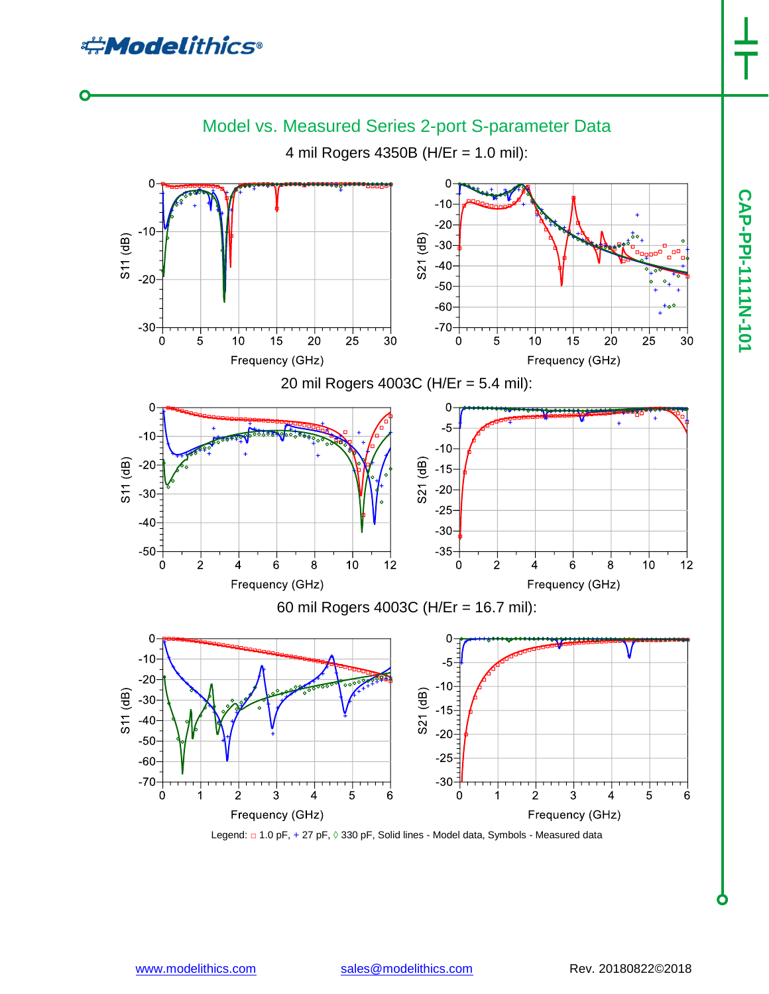**CAP-PPI-1111N-101**

**CAP-PPI-1117101** 



Legend: □ 1.0 pF, + 27 pF, 0 330 pF, Solid lines - Model data, Symbols - Measured data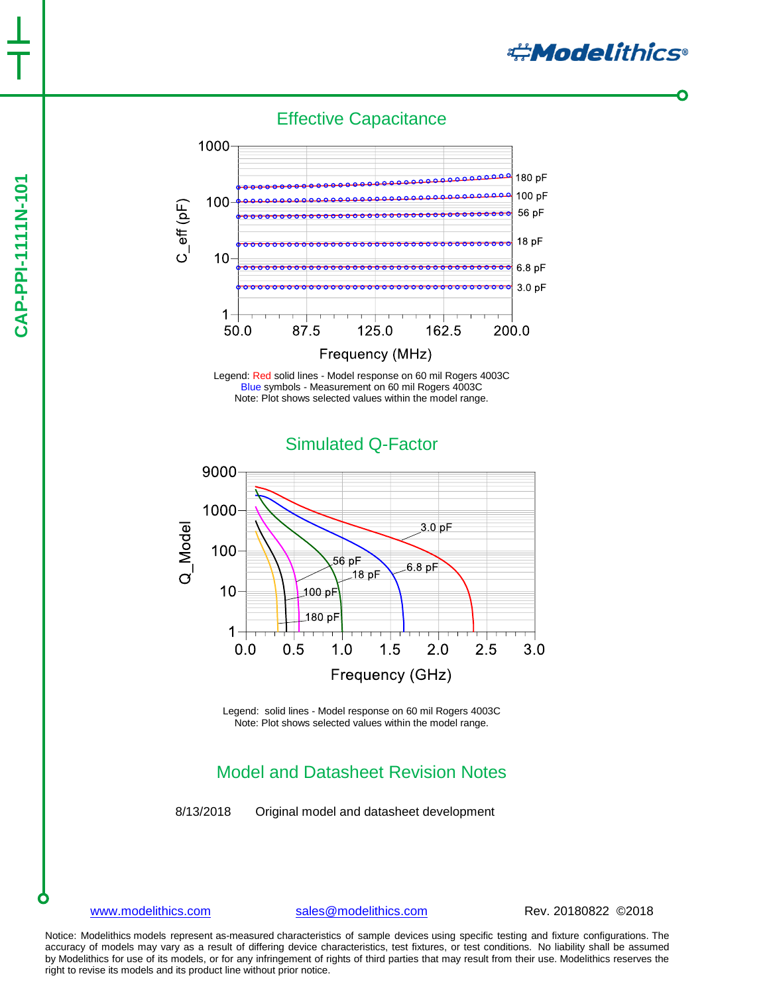# **CAP-PPI-1111N-101 CAP-PPI-1111N-101**

Effective Capacitance



Legend: Red solid lines - Model response on 60 mil Rogers 4003C Blue symbols - Measurement on 60 mil Rogers 4003C Note: Plot shows selected values within the model range.

Simulated Q-Factor

9000 1000 Q\_Model  $3.0 \,\mathrm{pF}$ 100 56 pF 6.8 pF 18 pF 10  $100 pF$ 180 pF  $1 0.0$  $0.5$  $1.0$  $1.5$  $2.0$  $2.5$  $3.0$ Frequency (GHz)

> Legend: solid lines - Model response on 60 mil Rogers 4003C Note: Plot shows selected values within the model range.

## Model and Datasheet Revision Notes

8/13/2018 Original model and datasheet development

[www.modelithics.com](http://www.modelithics.com/) [sales@modelithics.com](mailto:sales@modelithics.com) Rev. 20180822 ©2018

**#Modelithics** 

Notice: Modelithics models represent as-measured characteristics of sample devices using specific testing and fixture configurations. The accuracy of models may vary as a result of differing device characteristics, test fixtures, or test conditions. No liability shall be assumed by Modelithics for use of its models, or for any infringement of rights of third parties that may result from their use. Modelithics reserves the right to revise its models and its product line without prior notice.